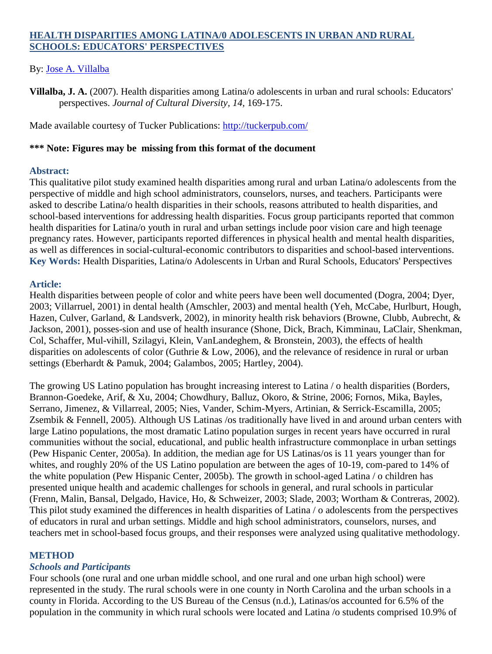# **HEALTH DISPARITIES AMONG LATINA/0 ADOLESCENTS IN URBAN AND RURAL SCHOOLS: EDUCATORS' PERSPECTIVES**

## By: [Jose A. Villalba](http://libres.uncg.edu/ir/uncg/clist.aspx?id=915)

**Villalba, J. A.** (2007). Health disparities among Latina/o adolescents in urban and rural schools: Educators' perspectives. *Journal of Cultural Diversity, 14,* 169-175.

Made available courtesy of Tucker Publications:<http://tuckerpub.com/>

### **\*\*\* Note: Figures may be missing from this format of the document**

## **Abstract:**

This qualitative pilot study examined health disparities among rural and urban Latina/o adolescents from the perspective of middle and high school administrators, counselors, nurses, and teachers. Participants were asked to describe Latina/o health disparities in their schools, reasons attributed to health disparities, and school-based interventions for addressing health disparities. Focus group participants reported that common health disparities for Latina/o youth in rural and urban settings include poor vision care and high teenage pregnancy rates. However, participants reported differences in physical health and mental health disparities, as well as differences in social-cultural-economic contributors to disparities and school-based interventions. **Key Words:** Health Disparities, Latina/o Adolescents in Urban and Rural Schools, Educators' Perspectives

# **Article:**

Health disparities between people of color and white peers have been well documented (Dogra, 2004; Dyer, 2003; Villarruel, 2001) in dental health (Amschler, 2003) and mental health (Yeh, McCabe, Hurlburt, Hough, Hazen, Culver, Garland, & Landsverk, 2002), in minority health risk behaviors (Browne, Clubb, Aubrecht, & Jackson, 2001), posses-sion and use of health insurance (Shone, Dick, Brach, Kimminau, LaClair, Shenkman, Col, Schaffer, Mul-vihill, Szilagyi, Klein, VanLandeghem, & Bronstein, 2003), the effects of health disparities on adolescents of color (Guthrie & Low, 2006), and the relevance of residence in rural or urban settings (Eberhardt & Pamuk, 2004; Galambos, 2005; Hartley, 2004).

The growing US Latino population has brought increasing interest to Latina / o health disparities (Borders, Brannon-Goedeke, Arif, & Xu, 2004; Chowdhury, Balluz, Okoro, & Strine, 2006; Fornos, Mika, Bayles, Serrano, Jimenez, & Villarreal, 2005; Nies, Vander, Schim-Myers, Artinian, & Serrick-Escamilla, 2005; Zsembik & Fennell, 2005). Although US Latinas /os traditionally have lived in and around urban centers with large Latino populations, the most dramatic Latino population surges in recent years have occurred in rural communities without the social, educational, and public health infrastructure commonplace in urban settings (Pew Hispanic Center, 2005a). In addition, the median age for US Latinas/os is 11 years younger than for whites, and roughly 20% of the US Latino population are between the ages of 10-19, com-pared to 14% of the white population (Pew Hispanic Center, 2005b). The growth in school-aged Latina / o children has presented unique health and academic challenges for schools in general, and rural schools in particular (Frenn, Malin, Bansal, Delgado, Havice, Ho, & Schweizer, 2003; Slade, 2003; Wortham & Contreras, 2002). This pilot study examined the differences in health disparities of Latina / o adolescents from the perspectives of educators in rural and urban settings. Middle and high school administrators, counselors, nurses, and teachers met in school-based focus groups, and their responses were analyzed using qualitative methodology.

# **METHOD**

# *Schools and Participants*

Four schools (one rural and one urban middle school, and one rural and one urban high school) were represented in the study. The rural schools were in one county in North Carolina and the urban schools in a county in Florida. According to the US Bureau of the Census (n.d.), Latinas/os accounted for 6.5% of the population in the community in which rural schools were located and Latina /o students comprised 10.9% of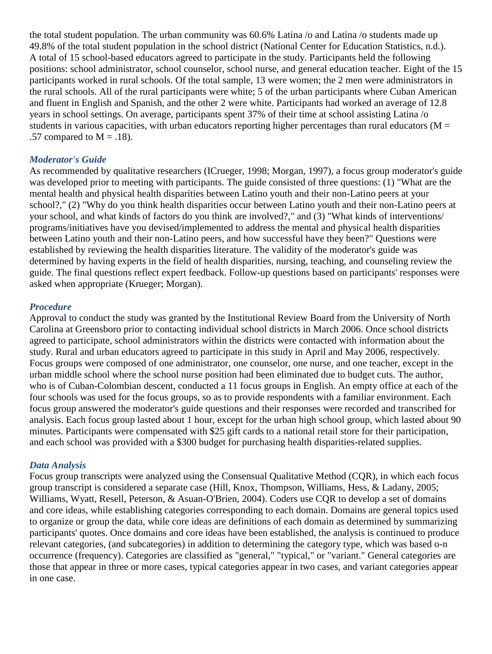the total student population. The urban community was 60.6% Latina /o and Latina /o students made up 49.8% of the total student population in the school district (National Center for Education Statistics, n.d.). A total of 15 school-based educators agreed to participate in the study. Participants held the following positions: school administrator, school counselor, school nurse, and general education teacher. Eight of the 15 participants worked in rural schools. Of the total sample, 13 were women; the 2 men were administrators in the rural schools. All of the rural participants were white; 5 of the urban participants where Cuban American and fluent in English and Spanish, and the other 2 were white. Participants had worked an average of 12.8 years in school settings. On average, participants spent 37% of their time at school assisting Latina /o students in various capacities, with urban educators reporting higher percentages than rural educators ( $M =$ .57 compared to  $M = .18$ ).

#### *Moderator's Guide*

As recommended by qualitative researchers (ICrueger, 1998; Morgan, 1997), a focus group moderator's guide was developed prior to meeting with participants. The guide consisted of three questions: (1) "What are the mental health and physical health disparities between Latino youth and their non-Latino peers at your school?," (2) "Why do you think health disparities occur between Latino youth and their non-Latino peers at your school, and what kinds of factors do you think are involved?," and (3) "What kinds of interventions/ programs/initiatives have you devised/implemented to address the mental and physical health disparities between Latino youth and their non-Latino peers, and how successful have they been?" Questions were established by reviewing the health disparities literature. The validity of the moderator's guide was determined by having experts in the field of health disparities, nursing, teaching, and counseling review the guide. The final questions reflect expert feedback. Follow-up questions based on participants' responses were asked when appropriate (Krueger; Morgan).

#### *Procedure*

Approval to conduct the study was granted by the Institutional Review Board from the University of North Carolina at Greensboro prior to contacting individual school districts in March 2006. Once school districts agreed to participate, school administrators within the districts were contacted with information about the study. Rural and urban educators agreed to participate in this study in April and May 2006, respectively. Focus groups were composed of one administrator, one counselor, one nurse, and one teacher, except in the urban middle school where the school nurse position had been eliminated due to budget cuts. The author, who is of Cuban-Colombian descent, conducted a 11 focus groups in English. An empty office at each of the four schools was used for the focus groups, so as to provide respondents with a familiar environment. Each focus group answered the moderator's guide questions and their responses were recorded and transcribed for analysis. Each focus group lasted about 1 hour, except for the urban high school group, which lasted about 90 minutes. Participants were compensated with \$25 gift cards to a national retail store for their participation, and each school was provided with a \$300 budget for purchasing health disparities-related supplies.

#### *Data Analysis*

Focus group transcripts were analyzed using the Consensual Qualitative Method (CQR), in which each focus group transcript is considered a separate case (Hill, Knox, Thompson, Williams, Hess, & Ladany, 2005; Williams, Wyatt, Resell, Peterson, & Asuan-O'Brien, 2004). Coders use CQR to develop a set of domains and core ideas, while establishing categories corresponding to each domain. Domains are general topics used to organize or group the data, while core ideas are definitions of each domain as determined by summarizing participants' quotes. Once domains and core ideas have been established, the analysis is continued to produce relevant categories, (and subcategories) in addition to determining the category type, which was based o-n occurrence (frequency). Categories are classified as "general," "typical," or "variant." General categories are those that appear in three or more cases, typical categories appear in two cases, and variant categories appear in one case.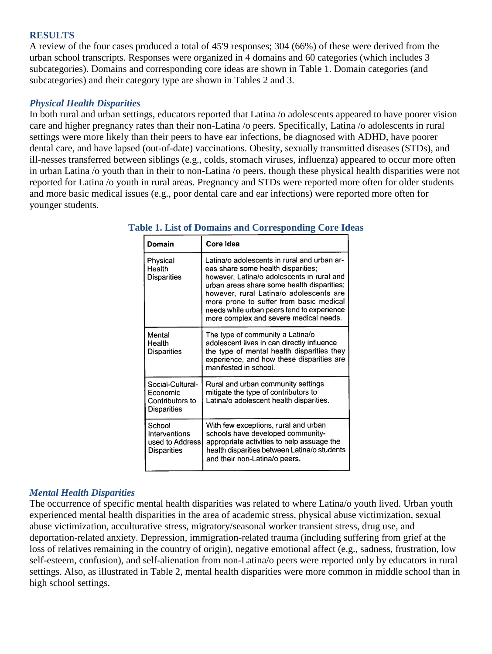### **RESULTS**

A review of the four cases produced a total of 45'9 responses; 304 (66%) of these were derived from the urban school transcripts. Responses were organized in 4 domains and 60 categories (which includes 3 subcategories). Domains and corresponding core ideas are shown in Table 1. Domain categories (and subcategories) and their category type are shown in Tables 2 and 3.

# *Physical Health Disparities*

In both rural and urban settings, educators reported that Latina /o adolescents appeared to have poorer vision care and higher pregnancy rates than their non-Latina /o peers. Specifically, Latina /o adolescents in rural settings were more likely than their peers to have ear infections, be diagnosed with ADHD, have poorer dental care, and have lapsed (out-of-date) vaccinations. Obesity, sexually transmitted diseases (STDs), and ill-nesses transferred between siblings (e.g., colds, stomach viruses, influenza) appeared to occur more often in urban Latina /o youth than in their to non-Latina /o peers, though these physical health disparities were not reported for Latina /o youth in rural areas. Pregnancy and STDs were reported more often for older students and more basic medical issues (e.g., poor dental care and ear infections) were reported more often for younger students.

| Domain                                                                | Core Idea                                                                                                                                                                                                                                                                                                                                                   |
|-----------------------------------------------------------------------|-------------------------------------------------------------------------------------------------------------------------------------------------------------------------------------------------------------------------------------------------------------------------------------------------------------------------------------------------------------|
| Physical<br>Health<br><b>Disparities</b>                              | Latina/o adolescents in rural and urban ar-<br>eas share some health disparities;<br>however, Latina/o adolescents in rural and<br>urban areas share some health disparities;<br>however, rural Latina/o adolescents are<br>more prone to suffer from basic medical<br>needs while urban peers tend to experience<br>more complex and severe medical needs. |
| Mental<br>Health<br><b>Disparities</b>                                | The type of community a Latina/o<br>adolescent lives in can directly influence<br>the type of mental health disparities they<br>experience, and how these disparities are<br>manifested in school.                                                                                                                                                          |
| Social-Cultural-<br>Economic<br>Contributors to<br><b>Disparities</b> | Rural and urban community settings<br>mitigate the type of contributors to<br>Latina/o adolescent health disparities.                                                                                                                                                                                                                                       |
| School<br>Interventions<br>used to Address<br><b>Disparities</b>      | With few exceptions, rural and urban<br>schools have developed community-<br>appropriate activities to help assuage the<br>health disparities between Latina/o students<br>and their non-Latina/o peers.                                                                                                                                                    |

## **Table 1. List of Domains and Corresponding Core Ideas**

# *Mental Health Disparities*

The occurrence of specific mental health disparities was related to where Latina/o youth lived. Urban youth experienced mental health disparities in the area of academic stress, physical abuse victimization, sexual abuse victimization, acculturative stress, migratory/seasonal worker transient stress, drug use, and deportation-related anxiety. Depression, immigration-related trauma (including suffering from grief at the loss of relatives remaining in the country of origin), negative emotional affect (e.g., sadness, frustration, low self-esteem, confusion), and self-alienation from non-Latina/o peers were reported only by educators in rural settings. Also, as illustrated in Table 2, mental health disparities were more common in middle school than in high school settings.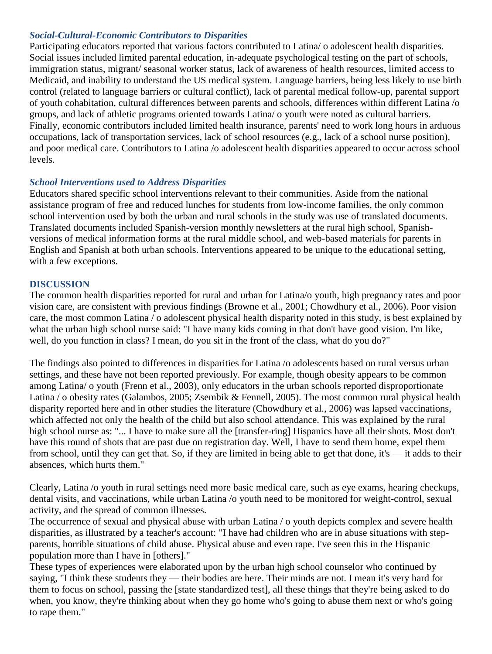# *Social-Cultural-Economic Contributors to Disparities*

Participating educators reported that various factors contributed to Latina/ o adolescent health disparities. Social issues included limited parental education, in-adequate psychological testing on the part of schools, immigration status, migrant/ seasonal worker status, lack of awareness of health resources, limited access to Medicaid, and inability to understand the US medical system. Language barriers, being less likely to use birth control (related to language barriers or cultural conflict), lack of parental medical follow-up, parental support of youth cohabitation, cultural differences between parents and schools, differences within different Latina /o groups, and lack of athletic programs oriented towards Latina/ o youth were noted as cultural barriers. Finally, economic contributors included limited health insurance, parents' need to work long hours in arduous occupations, lack of transportation services, lack of school resources (e.g., lack of a school nurse position), and poor medical care. Contributors to Latina /o adolescent health disparities appeared to occur across school levels.

## *School Interventions used to Address Disparities*

Educators shared specific school interventions relevant to their communities. Aside from the national assistance program of free and reduced lunches for students from low-income families, the only common school intervention used by both the urban and rural schools in the study was use of translated documents. Translated documents included Spanish-version monthly newsletters at the rural high school, Spanishversions of medical information forms at the rural middle school, and web-based materials for parents in English and Spanish at both urban schools. Interventions appeared to be unique to the educational setting, with a few exceptions.

## **DISCUSSION**

The common health disparities reported for rural and urban for Latina/o youth, high pregnancy rates and poor vision care, are consistent with previous findings (Browne et al., 2001; Chowdhury et al., 2006). Poor vision care, the most common Latina / o adolescent physical health disparity noted in this study, is best explained by what the urban high school nurse said: "I have many kids coming in that don't have good vision. I'm like, well, do you function in class? I mean, do you sit in the front of the class, what do you do?"

The findings also pointed to differences in disparities for Latina /o adolescents based on rural versus urban settings, and these have not been reported previously. For example, though obesity appears to be common among Latina/ o youth (Frenn et al., 2003), only educators in the urban schools reported disproportionate Latina / o obesity rates (Galambos, 2005; Zsembik & Fennell, 2005). The most common rural physical health disparity reported here and in other studies the literature (Chowdhury et al., 2006) was lapsed vaccinations, which affected not only the health of the child but also school attendance. This was explained by the rural high school nurse as: "... I have to make sure all the [transfer-ring] Hispanics have all their shots. Most don't have this round of shots that are past due on registration day. Well, I have to send them home, expel them from school, until they can get that. So, if they are limited in being able to get that done, it's — it adds to their absences, which hurts them."

Clearly, Latina /o youth in rural settings need more basic medical care, such as eye exams, hearing checkups, dental visits, and vaccinations, while urban Latina /o youth need to be monitored for weight-control, sexual activity, and the spread of common illnesses.

The occurrence of sexual and physical abuse with urban Latina / o youth depicts complex and severe health disparities, as illustrated by a teacher's account: "I have had children who are in abuse situations with stepparents, horrible situations of child abuse. Physical abuse and even rape. I've seen this in the Hispanic population more than I have in [others]."

These types of experiences were elaborated upon by the urban high school counselor who continued by saying, "I think these students they — their bodies are here. Their minds are not. I mean it's very hard for them to focus on school, passing the [state standardized test], all these things that they're being asked to do when, you know, they're thinking about when they go home who's going to abuse them next or who's going to rape them."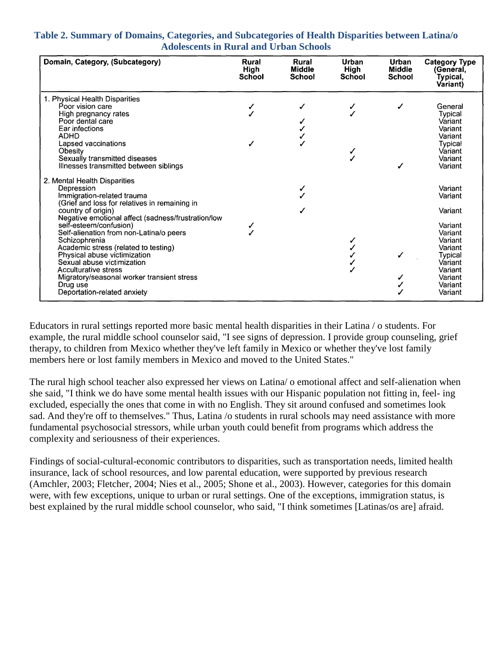| Table 2. Summary of Domains, Categories, and Subcategories of Health Disparities between Latina/o |  |
|---------------------------------------------------------------------------------------------------|--|
| <b>Adolescents in Rural and Urban Schools</b>                                                     |  |

| Domain, Category, (Subcategory)                                                                                                                                                                                                                                                                                  | Rural<br>High<br>School | Rural<br><b>Middle</b><br>School | Urban<br>High<br>School | Urban<br>Middle<br><b>School</b> | <b>Category Type</b><br>(General.<br>Typical,<br>Variant)                                                  |
|------------------------------------------------------------------------------------------------------------------------------------------------------------------------------------------------------------------------------------------------------------------------------------------------------------------|-------------------------|----------------------------------|-------------------------|----------------------------------|------------------------------------------------------------------------------------------------------------|
| 1. Physical Health Disparities<br>Poor vision care<br>High pregnancy rates<br>Poor dental care<br>Ear infections                                                                                                                                                                                                 |                         |                                  |                         |                                  | General<br>Typical<br>Variant<br>Variant                                                                   |
| <b>ADHD</b><br>Lapsed vaccinations<br>Obesity<br>Sexually transmitted diseases<br>Illnesses transmitted between siblings                                                                                                                                                                                         |                         |                                  |                         |                                  | Variant<br>Typical<br>Variant<br>Variant<br>Variant                                                        |
| 2. Mental Health Disparities<br>Depression<br>Immigration-related trauma<br>(Grief and loss for relatives in remaining in<br>country of origin)<br>Negative emotional affect (sadness/frustration/low                                                                                                            |                         | ✓                                |                         |                                  | Variant<br>Variant<br>Variant                                                                              |
| self-esteem/confusion)<br>Self-alienation from non-Latina/o peers<br>Schizophrenia<br>Academic stress (related to testing)<br>Physical abuse victimization<br>Sexual abuse victimization<br><b>Acculturative stress</b><br>Migratory/seasonal worker transient stress<br>Drug use<br>Deportation-related anxiety |                         |                                  |                         |                                  | Variant<br>Variant<br>Variant<br>Variant<br>Typical<br>Variant<br>Variant<br>Variant<br>Variant<br>Variant |

Educators in rural settings reported more basic mental health disparities in their Latina / o students. For example, the rural middle school counselor said, "I see signs of depression. I provide group counseling, grief therapy, to children from Mexico whether they've left family in Mexico or whether they've lost family members here or lost family members in Mexico and moved to the United States."

The rural high school teacher also expressed her views on Latina/ o emotional affect and self-alienation when she said, "I think we do have some mental health issues with our Hispanic population not fitting in, feel- ing excluded, especially the ones that come in with no English. They sit around confused and sometimes look sad. And they're off to themselves." Thus, Latina /o students in rural schools may need assistance with more fundamental psychosocial stressors, while urban youth could benefit from programs which address the complexity and seriousness of their experiences.

Findings of social-cultural-economic contributors to disparities, such as transportation needs, limited health insurance, lack of school resources, and low parental education, were supported by previous research (Amchler, 2003; Fletcher, 2004; Nies et al., 2005; Shone et al., 2003). However, categories for this domain were, with few exceptions, unique to urban or rural settings. One of the exceptions, immigration status, is best explained by the rural middle school counselor, who said, "I think sometimes [Latinas/os are] afraid.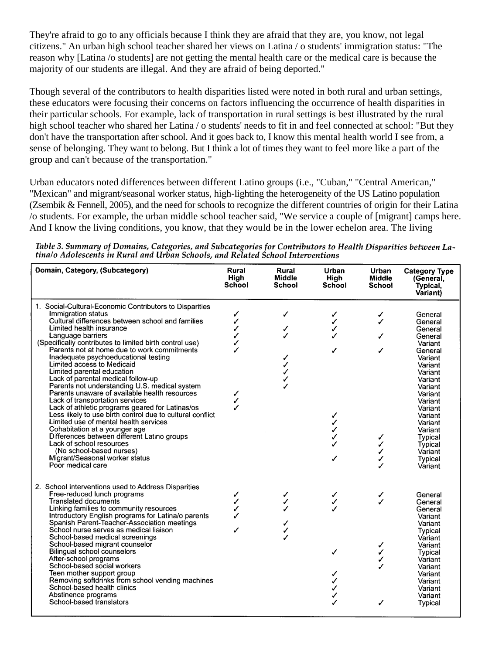They're afraid to go to any officials because I think they are afraid that they are, you know, not legal citizens." An urban high school teacher shared her views on Latina / o students' immigration status: "The reason why [Latina /o students] are not getting the mental health care or the medical care is because the majority of our students are illegal. And they are afraid of being deported."

Though several of the contributors to health disparities listed were noted in both rural and urban settings, these educators were focusing their concerns on factors influencing the occurrence of health disparities in their particular schools. For example, lack of transportation in rural settings is best illustrated by the rural high school teacher who shared her Latina / o students' needs to fit in and feel connected at school: "But they don't have the transportation after school. And it goes back to, I know this mental health world I see from, a sense of belonging. They want to belong. But I think a lot of times they want to feel more like a part of the group and can't because of the transportation."

Urban educators noted differences between different Latino groups (i.e., "Cuban," "Central American," "Mexican" and migrant/seasonal worker status, high-lighting the heterogeneity of the US Latino population (Zsembik & Fennell, 2005), and the need for schools to recognize the different countries of origin for their Latina /o students. For example, the urban middle school teacher said, "We service a couple of [migrant] camps here. And I know the living conditions, you know, that they would be in the lower echelon area. The living

Table 3. Summary of Domains, Categories, and Subcategories for Contributors to Health Disparities between Latina/o Adolescents in Rural and Urban Schools, and Related School Interventions

| Domain, Category, (Subcategory)                                                                                                                                                                                                                                                                                                                                                                                                                                                                                                                                                                                                                                                                                                                                                                                                                                                                                                     | Rural<br>High<br><b>School</b>            | Rural<br><b>Middle</b><br><b>School</b> | Urban<br>High<br><b>School</b> | <b>Urban</b><br><b>Middle</b><br><b>School</b> | <b>Category Type</b><br>(General,<br>Typical,<br>Variant)                                                                                                                                                                                             |
|-------------------------------------------------------------------------------------------------------------------------------------------------------------------------------------------------------------------------------------------------------------------------------------------------------------------------------------------------------------------------------------------------------------------------------------------------------------------------------------------------------------------------------------------------------------------------------------------------------------------------------------------------------------------------------------------------------------------------------------------------------------------------------------------------------------------------------------------------------------------------------------------------------------------------------------|-------------------------------------------|-----------------------------------------|--------------------------------|------------------------------------------------|-------------------------------------------------------------------------------------------------------------------------------------------------------------------------------------------------------------------------------------------------------|
| 1. Social-Cultural-Economic Contributors to Disparities<br>Immigration status<br>Cultural differences between school and families<br>Limited health insurance<br>Language barriers<br>(Specifically contributes to limited birth control use)<br>Parents not at home due to work commitments<br>Inadequate psychoeducational testing<br>Limited access to Medicaid<br>Limited parental education<br>Lack of parental medical follow-up<br>Parents not understanding U.S. medical system<br>Parents unaware of available health resources<br>Lack of transportation services<br>Lack of athletic programs geared for Latinas/os<br>Less likely to use birth control due to cultural conflict<br>Limited use of mental health services<br>Cohabitation at a younger age<br>Differences between different Latino groups<br>Lack of school resources<br>(No school-based nurses)<br>Migrant/Seasonal worker status<br>Poor medical care | ✓<br>✓<br>✓<br>✓<br>✓<br>∕<br>✓<br>J<br>J | ✓<br>✓<br>✓<br>✓<br>✓<br>✓              | ✓<br>✓<br>✓<br>✓<br>✓          | ✓<br>✓                                         | General<br>General<br>General<br>General<br>Variant<br>General<br>Variant<br>Variant<br>Variant<br>Variant<br>Variant<br>Variant<br>Variant<br>Variant<br>Variant<br>Variant<br>Variant<br>Typical<br>Typical<br>Variant<br><b>Typical</b><br>Variant |
| 2. School Interventions used to Address Disparities<br>Free-reduced lunch programs<br><b>Translated documents</b><br>Linking families to community resources<br>Introductory English programs for Latina/o parents<br>Spanish Parent-Teacher-Association meetings<br>School nurse serves as medical liaison<br>School-based medical screenings<br>School-based migrant counselor<br><b>Bilingual school counselors</b><br>After-school programs<br>School-based social workers<br>Teen mother support group<br>Removing softdrinks from school vending machines<br>School-based health clinics<br>Abstinence programs<br>School-based translators                                                                                                                                                                                                                                                                                   | ✓<br>✓<br>✓<br>╱<br>✓                     | ✓<br>J<br>✓<br>✓<br>✓<br>✓              | ✓<br>$\checkmark$<br>✓<br>✓    | ✓<br>J<br>✓                                    | General<br>General<br>General<br>Variant<br>Variant<br><b>Typical</b><br>Variant<br>Variant<br><b>Typical</b><br>Variant<br>Variant<br>Variant<br>Variant<br>Variant<br>Variant<br>Typical                                                            |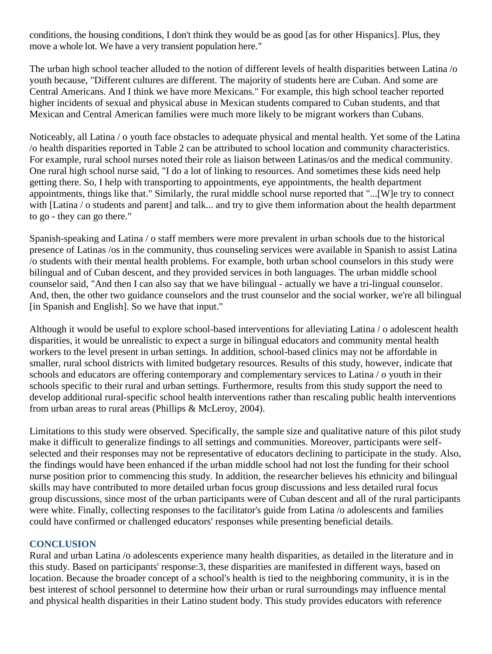conditions, the housing conditions, I don't think they would be as good [as for other Hispanics]. Plus, they move a whole lot. We have a very transient population here."

The urban high school teacher alluded to the notion of different levels of health disparities between Latina /o youth because, "Different cultures are different. The majority of students here are Cuban. And some are Central Americans. And I think we have more Mexicans." For example, this high school teacher reported higher incidents of sexual and physical abuse in Mexican students compared to Cuban students, and that Mexican and Central American families were much more likely to be migrant workers than Cubans.

Noticeably, all Latina / o youth face obstacles to adequate physical and mental health. Yet some of the Latina /o health disparities reported in Table 2 can be attributed to school location and community characteristics. For example, rural school nurses noted their role as liaison between Latinas/os and the medical community. One rural high school nurse said, "I do a lot of linking to resources. And sometimes these kids need help getting there. So, I help with transporting to appointments, eye appointments, the health department appointments, things like that." Similarly, the rural middle school nurse reported that "...[W]e try to connect with [Latina / o students and parent] and talk... and try to give them information about the health department to go - they can go there."

Spanish-speaking and Latina / o staff members were more prevalent in urban schools due to the historical presence of Latinas /os in the community, thus counseling services were available in Spanish to assist Latina /o students with their mental health problems. For example, both urban school counselors in this study were bilingual and of Cuban descent, and they provided services in both languages. The urban middle school counselor said, "And then I can also say that we have bilingual - actually we have a tri-lingual counselor. And, then, the other two guidance counselors and the trust counselor and the social worker, we're all bilingual [in Spanish and English]. So we have that input."

Although it would be useful to explore school-based interventions for alleviating Latina / o adolescent health disparities, it would be unrealistic to expect a surge in bilingual educators and community mental health workers to the level present in urban settings. In addition, school-based clinics may not be affordable in smaller, rural school districts with limited budgetary resources. Results of this study, however, indicate that schools and educators are offering contemporary and complementary services to Latina / o youth in their schools specific to their rural and urban settings. Furthermore, results from this study support the need to develop additional rural-specific school health interventions rather than rescaling public health interventions from urban areas to rural areas (Phillips & McLeroy, 2004).

Limitations to this study were observed. Specifically, the sample size and qualitative nature of this pilot study make it difficult to generalize findings to all settings and communities. Moreover, participants were selfselected and their responses may not be representative of educators declining to participate in the study. Also, the findings would have been enhanced if the urban middle school had not lost the funding for their school nurse position prior to commencing this study. In addition, the researcher believes his ethnicity and bilingual skills may have contributed to more detailed urban focus group discussions and less detailed rural focus group discussions, since most of the urban participants were of Cuban descent and all of the rural participants were white. Finally, collecting responses to the facilitator's guide from Latina /o adolescents and families could have confirmed or challenged educators' responses while presenting beneficial details.

# **CONCLUSION**

Rural and urban Latina /o adolescents experience many health disparities, as detailed in the literature and in this study. Based on participants' response:3, these disparities are manifested in different ways, based on location. Because the broader concept of a school's health is tied to the neighboring community, it is in the best interest of school personnel to determine how their urban or rural surroundings may influence mental and physical health disparities in their Latino student body. This study provides educators with reference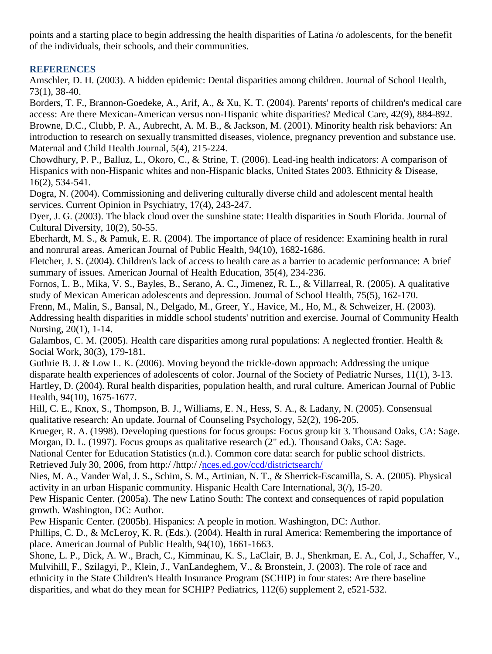points and a starting place to begin addressing the health disparities of Latina /o adolescents, for the benefit of the individuals, their schools, and their communities.

# **REFERENCES**

Amschler, D. H. (2003). A hidden epidemic: Dental disparities among children. Journal of School Health, 73(1), 38-40.

Borders, T. F., Brannon-Goedeke, A., Arif, A., & Xu, K. T. (2004). Parents' reports of children's medical care access: Are there Mexican-American versus non-Hispanic white disparities? Medical Care, 42(9), 884-892. Browne, D.C., Clubb, P. A., Aubrecht, A. M. B., & Jackson, M. (2001). Minority health risk behaviors: An introduction to research on sexually transmitted diseases, violence, pregnancy prevention and substance use. Maternal and Child Health Journal, 5(4), 215-224.

Chowdhury, P. P., Balluz, L., Okoro, C., & Strine, T. (2006). Lead-ing health indicators: A comparison of Hispanics with non-Hispanic whites and non-Hispanic blacks, United States 2003. Ethnicity & Disease, 16(2), 534-541.

Dogra, N. (2004). Commissioning and delivering culturally diverse child and adolescent mental health services. Current Opinion in Psychiatry, 17(4), 243-247.

Dyer, J. G. (2003). The black cloud over the sunshine state: Health disparities in South Florida. Journal of Cultural Diversity, 10(2), 50-55.

Eberhardt, M. S., & Pamuk, E. R. (2004). The importance of place of residence: Examining health in rural and nonrural areas. American Journal of Public Health, 94(10), 1682-1686.

Fletcher, J. S. (2004). Children's lack of access to health care as a barrier to academic performance: A brief summary of issues. American Journal of Health Education, 35(4), 234-236.

Fornos, L. B., Mika, V. S., Bayles, B., Serano, A. C., Jimenez, R. L., & Villarreal, R. (2005). A qualitative study of Mexican American adolescents and depression. Journal of School Health, 75(5), 162-170.

Frenn, M., Malin, S., Bansal, N., Delgado, M., Greer, Y., Havice, M., Ho, M., & Schweizer, H. (2003). Addressing health disparities in middle school students' nutrition and exercise. Journal of Community Health Nursing, 20(1), 1-14.

Galambos, C. M. (2005). Health care disparities among rural populations: A neglected frontier. Health & Social Work, 30(3), 179-181.

Guthrie B. J. & Low L. K. (2006). Moving beyond the trickle-down approach: Addressing the unique disparate health experiences of adolescents of color. Journal of the Society of Pediatric Nurses, 11(1), 3-13. Hartley, D. (2004). Rural health disparities, population health, and rural culture. American Journal of Public Health, 94(10), 1675-1677.

Hill, C. E., Knox, S., Thompson, B. J., Williams, E. N., Hess, S. A., & Ladany, N. (2005). Consensual qualitative research: An update. Journal of Counseling Psychology, 52(2), 196-205.

Krueger, R. A. (1998). Developing questions for focus groups: Focus group kit 3. Thousand Oaks, CA: Sage. Morgan, D. L. (1997). Focus groups as qualitative research (2" ed.). Thousand Oaks, CA: Sage.

National Center for Education Statistics (n.d.). Common core data: search for public school districts. Retrieved July 30, 2006, from http:/ /http:/ [/nces.ed.gov/ccd/districtsearch/](http://nces.ed.gov/ccd/districtsearch/)

Nies, M. A., Vander Wal, J. S., Schim, S. M., Artinian, N. T., & Sherrick-Escamilla, S. A. (2005). Physical activity in an urban Hispanic community. Hispanic Health Care International, 3(/), 15-20.

Pew Hispanic Center. (2005a). The new Latino South: The context and consequences of rapid population growth. Washington, DC: Author.

Pew Hispanic Center. (2005b). Hispanics: A people in motion. Washington, DC: Author.

Phillips, C. D., & McLeroy, K. R. (Eds.). (2004). Health in rural America: Remembering the importance of place. American Journal of Public Health, 94(10), 1661-1663.

Shone, L. P., Dick, A. W., Brach, C., Kimminau, K. S., LaClair, B. J., Shenkman, E. A., Col, J., Schaffer, V., Mulvihill, F., Szilagyi, P., Klein, J., VanLandeghem, V., & Bronstein, J. (2003). The role of race and ethnicity in the State Children's Health Insurance Program (SCHIP) in four states: Are there baseline disparities, and what do they mean for SCHIP? Pediatrics, 112(6) supplement 2, e521-532.